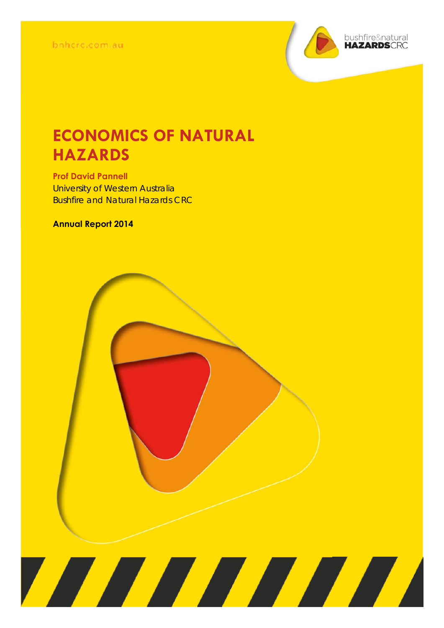

# **ECONOMICS OF NATURAL HAZARDS**

**Prof David Pannell**  University of Western Australia Bushfire and Natural Hazards CRC

#### **Annual Report 2014**

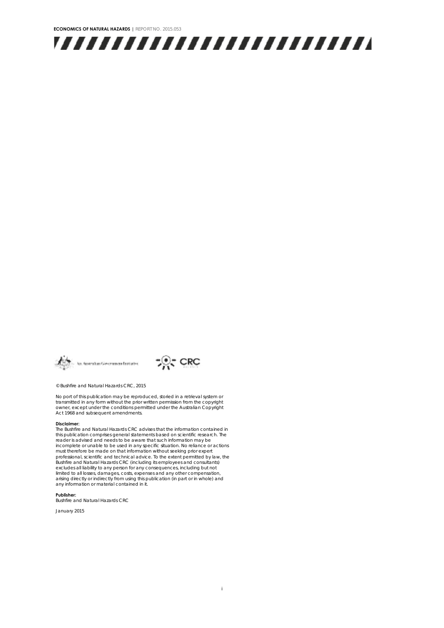





© Bushfire and Natural Hazards CRC, 2015

No port of this publication may be reproduced, storied in a retrieval system or transmitted in any form without the prior written permission from the copyright owner, except under the conditions permitted under the Australian Copyright Act 1968 and subsequent amendments.

#### **Disclaimer:**

The Bushfire and Natural Hazards CRC advises that the information contained in this publication comprises general statements based on scientific research. The reader is advised and needs to be aware that such information may be incomplete or unable to be used in any specific situation. No reliance or actions must therefore be made on that information without seeking prior expert<br>professional, scientific and technical advice. To the extent permitted by law, the<br>Bushfire and Natural Hazards CRC (including its employees and consu arising directly or indirectly from using this publication (in part or in whole) and any information or material contained in it.

#### **Publisher:**

Bushfire and Natural Hazards CRC

January 2015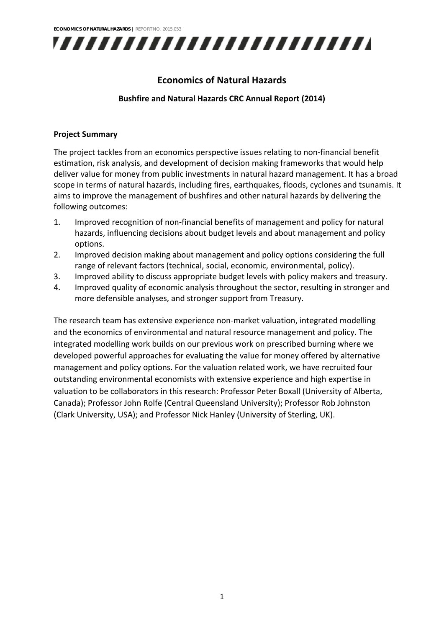

#### **Economics of Natural Hazards**

#### **Bushfire and Natural Hazards CRC Annual Report (2014)**

#### **Project Summary**

The project tackles from an economics perspective issues relating to non-financial benefit estimation, risk analysis, and development of decision making frameworks that would help deliver value for money from public investments in natural hazard management. It has a broad scope in terms of natural hazards, including fires, earthquakes, floods, cyclones and tsunamis. It aims to improve the management of bushfires and other natural hazards by delivering the following outcomes:

- 1. Improved recognition of non‐financial benefits of management and policy for natural hazards, influencing decisions about budget levels and about management and policy options.
- 2. Improved decision making about management and policy options considering the full range of relevant factors (technical, social, economic, environmental, policy).
- 3. Improved ability to discuss appropriate budget levels with policy makers and treasury.
- 4. Improved quality of economic analysis throughout the sector, resulting in stronger and more defensible analyses, and stronger support from Treasury.

The research team has extensive experience non‐market valuation, integrated modelling and the economics of environmental and natural resource management and policy. The integrated modelling work builds on our previous work on prescribed burning where we developed powerful approaches for evaluating the value for money offered by alternative management and policy options. For the valuation related work, we have recruited four outstanding environmental economists with extensive experience and high expertise in valuation to be collaborators in this research: Professor Peter Boxall (University of Alberta, Canada); Professor John Rolfe (Central Queensland University); Professor Rob Johnston (Clark University, USA); and Professor Nick Hanley (University of Sterling, UK).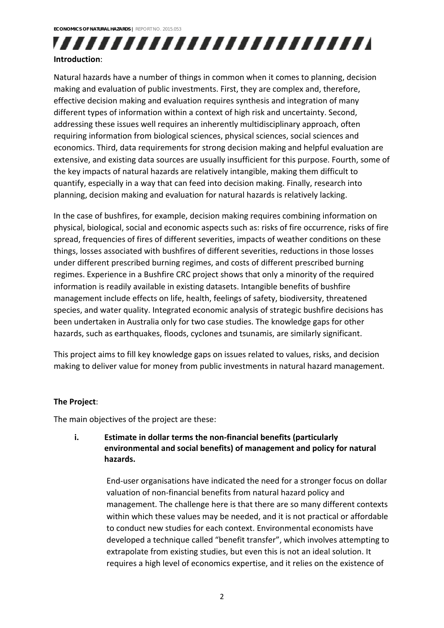## ,,,,,,,,,,,,,,,,,,,,,,,,, **Introduction**:

## Natural hazards have a number of things in common when it comes to planning, decision making and evaluation of public investments. First, they are complex and, therefore, effective decision making and evaluation requires synthesis and integration of many different types of information within a context of high risk and uncertainty. Second, addressing these issues well requires an inherently multidisciplinary approach, often requiring information from biological sciences, physical sciences, social sciences and economics. Third, data requirements for strong decision making and helpful evaluation are extensive, and existing data sources are usually insufficient for this purpose. Fourth, some of the key impacts of natural hazards are relatively intangible, making them difficult to quantify, especially in a way that can feed into decision making. Finally, research into planning, decision making and evaluation for natural hazards is relatively lacking.

In the case of bushfires, for example, decision making requires combining information on physical, biological, social and economic aspects such as: risks of fire occurrence, risks of fire spread, frequencies of fires of different severities, impacts of weather conditions on these things, losses associated with bushfires of different severities, reductions in those losses under different prescribed burning regimes, and costs of different prescribed burning regimes. Experience in a Bushfire CRC project shows that only a minority of the required information is readily available in existing datasets. Intangible benefits of bushfire management include effects on life, health, feelings of safety, biodiversity, threatened species, and water quality. Integrated economic analysis of strategic bushfire decisions has been undertaken in Australia only for two case studies. The knowledge gaps for other hazards, such as earthquakes, floods, cyclones and tsunamis, are similarly significant.

This project aims to fill key knowledge gaps on issues related to values, risks, and decision making to deliver value for money from public investments in natural hazard management.

#### **The Project**:

The main objectives of the project are these:

#### **i. Estimate in dollar terms the non‐financial benefits (particularly environmental and social benefits) of management and policy for natural hazards.**

End‐user organisations have indicated the need for a stronger focus on dollar valuation of non‐financial benefits from natural hazard policy and management. The challenge here is that there are so many different contexts within which these values may be needed, and it is not practical or affordable to conduct new studies for each context. Environmental economists have developed a technique called "benefit transfer", which involves attempting to extrapolate from existing studies, but even this is not an ideal solution. It requires a high level of economics expertise, and it relies on the existence of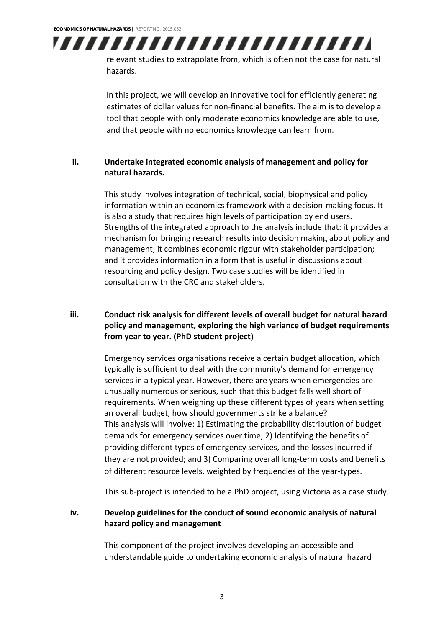

relevant studies to extrapolate from, which is often not the case for natural hazards.

In this project, we will develop an innovative tool for efficiently generating estimates of dollar values for non‐financial benefits. The aim is to develop a tool that people with only moderate economics knowledge are able to use, and that people with no economics knowledge can learn from.

#### **ii. Undertake integrated economic analysis of management and policy for natural hazards.**

This study involves integration of technical, social, biophysical and policy information within an economics framework with a decision-making focus. It is also a study that requires high levels of participation by end users. Strengths of the integrated approach to the analysis include that: it provides a mechanism for bringing research results into decision making about policy and management; it combines economic rigour with stakeholder participation; and it provides information in a form that is useful in discussions about resourcing and policy design. Two case studies will be identified in consultation with the CRC and stakeholders.

#### **iii. Conduct risk analysis for different levels of overall budget for natural hazard policy and management, exploring the high variance of budget requirements from year to year. (PhD student project)**

Emergency services organisations receive a certain budget allocation, which typically is sufficient to deal with the community's demand for emergency services in a typical year. However, there are years when emergencies are unusually numerous or serious, such that this budget falls well short of requirements. When weighing up these different types of years when setting an overall budget, how should governments strike a balance? This analysis will involve: 1) Estimating the probability distribution of budget demands for emergency services over time; 2) Identifying the benefits of providing different types of emergency services, and the losses incurred if they are not provided; and 3) Comparing overall long‐term costs and benefits of different resource levels, weighted by frequencies of the year‐types.

This sub‐project is intended to be a PhD project, using Victoria as a case study.

#### **iv. Develop guidelines for the conduct of sound economic analysis of natural hazard policy and management**

This component of the project involves developing an accessible and understandable guide to undertaking economic analysis of natural hazard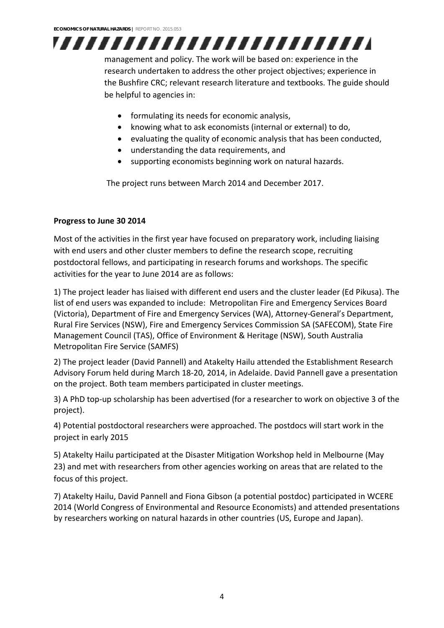# ,,,,,,,,,,,,,,,,,,,,,,,,,

management and policy. The work will be based on: experience in the research undertaken to address the other project objectives; experience in the Bushfire CRC; relevant research literature and textbooks. The guide should be helpful to agencies in:

- formulating its needs for economic analysis,
- knowing what to ask economists (internal or external) to do,
- evaluating the quality of economic analysis that has been conducted,
- understanding the data requirements, and
- supporting economists beginning work on natural hazards.

The project runs between March 2014 and December 2017.

### **Progress to June 30 2014**

Most of the activities in the first year have focused on preparatory work, including liaising with end users and other cluster members to define the research scope, recruiting postdoctoral fellows, and participating in research forums and workshops. The specific activities for the year to June 2014 are as follows:

1) The project leader has liaised with different end users and the cluster leader (Ed Pikusa). The list of end users was expanded to include: Metropolitan Fire and Emergency Services Board (Victoria), Department of Fire and Emergency Services (WA), Attorney‐General's Department, Rural Fire Services (NSW), Fire and Emergency Services Commission SA (SAFECOM), State Fire Management Council (TAS), Office of Environment & Heritage (NSW), South Australia Metropolitan Fire Service (SAMFS)

2) The project leader (David Pannell) and Atakelty Hailu attended the Establishment Research Advisory Forum held during March 18‐20, 2014, in Adelaide. David Pannell gave a presentation on the project. Both team members participated in cluster meetings.

3) A PhD top-up scholarship has been advertised (for a researcher to work on objective 3 of the project).

4) Potential postdoctoral researchers were approached. The postdocs will start work in the project in early 2015

5) Atakelty Hailu participated at the Disaster Mitigation Workshop held in Melbourne (May 23) and met with researchers from other agencies working on areas that are related to the focus of this project.

7) Atakelty Hailu, David Pannell and Fiona Gibson (a potential postdoc) participated in WCERE 2014 (World Congress of Environmental and Resource Economists) and attended presentations by researchers working on natural hazards in other countries (US, Europe and Japan).